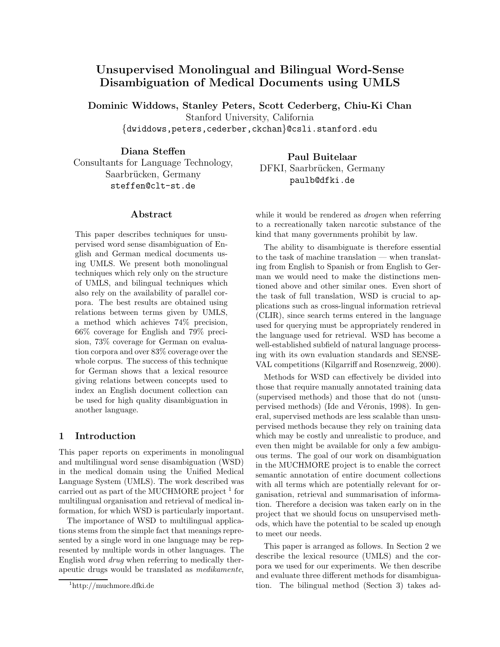# Unsupervised Monolingual and Bilingual Word-Sense Disambiguation of Medical Documents using UMLS

Dominic Widdows, Stanley Peters, Scott Cederberg, Chiu-Ki Chan Stanford University, California {dwiddows,peters,cederber,ckchan}@csli.stanford.edu

Diana Steffen Consultants for Language Technology, Saarbrücken, Germany steffen@clt-st.de

# Abstract

This paper describes techniques for unsupervised word sense disambiguation of English and German medical documents using UMLS. We present both monolingual techniques which rely only on the structure of UMLS, and bilingual techniques which also rely on the availability of parallel corpora. The best results are obtained using relations between terms given by UMLS, a method which achieves 74% precision, 66% coverage for English and 79% precision, 73% coverage for German on evaluation corpora and over 83% coverage over the whole corpus. The success of this technique for German shows that a lexical resource giving relations between concepts used to index an English document collection can be used for high quality disambiguation in another language.

### 1 Introduction

This paper reports on experiments in monolingual and multilingual word sense disambiguation (WSD) in the medical domain using the Unified Medical Language System (UMLS). The work described was carried out as part of the MUCHMORE project<sup>1</sup> for multilingual organisation and retrieval of medical information, for which WSD is particularly important.

The importance of WSD to multilingual applications stems from the simple fact that meanings represented by a single word in one language may be represented by multiple words in other languages. The English word drug when referring to medically therapeutic drugs would be translated as medikamente,

Paul Buitelaar DFKI, Saarbrücken, Germany paulb@dfki.de

while it would be rendered as *drogen* when referring to a recreationally taken narcotic substance of the kind that many governments prohibit by law.

The ability to disambiguate is therefore essential to the task of machine translation — when translating from English to Spanish or from English to German we would need to make the distinctions mentioned above and other similar ones. Even short of the task of full translation, WSD is crucial to applications such as cross-lingual information retrieval (CLIR), since search terms entered in the language used for querying must be appropriately rendered in the language used for retrieval. WSD has become a well-established subfield of natural language processing with its own evaluation standards and SENSE-VAL competitions (Kilgarriff and Rosenzweig, 2000).

Methods for WSD can effectively be divided into those that require manually annotated training data (supervised methods) and those that do not (unsupervised methods) (Ide and Véronis, 1998). In general, supervised methods are less scalable than unsupervised methods because they rely on training data which may be costly and unrealistic to produce, and even then might be available for only a few ambiguous terms. The goal of our work on disambiguation in the MUCHMORE project is to enable the correct semantic annotation of entire document collections with all terms which are potentially relevant for organisation, retrieval and summarisation of information. Therefore a decision was taken early on in the project that we should focus on unsupervised methods, which have the potential to be scaled up enough to meet our needs.

This paper is arranged as follows. In Section 2 we describe the lexical resource (UMLS) and the corpora we used for our experiments. We then describe and evaluate three different methods for disambiguation. The bilingual method (Section 3) takes ad-

<sup>1</sup> http://muchmore.dfki.de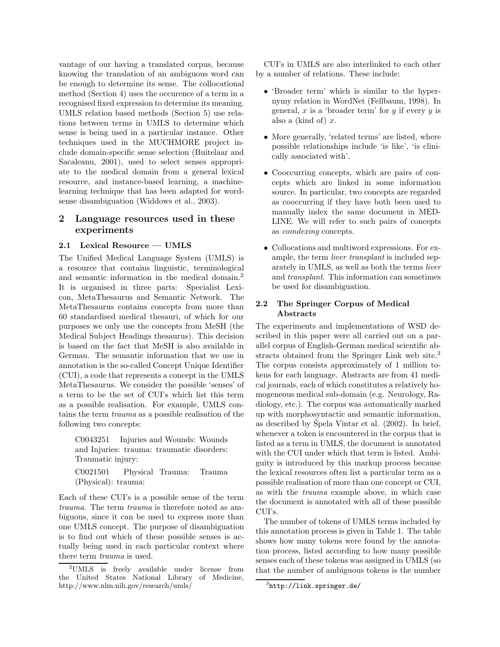vantage of our having a translated corpus, because knowing the translation of an ambiguous word can be enough to determine its sense. The collocational method (Section 4) uses the occurence of a term in a recognised fixed expression to determine its meaning. UMLS relation based methods (Section 5) use relations between terms in UMLS to determine which sense is being used in a particular instance. Other techniques used in the MUCHMORE project include domain-specific sense selection (Buitelaar and Sacaleanu, 2001), used to select senses appropriate to the medical domain from a general lexical resource, and instance-based learning, a machinelearning technique that has been adapted for wordsense disambiguation (Widdows et al., 2003).

# 2 Language resources used in these experiments

### 2.1 Lexical Resource — UMLS

The Unified Medical Language System (UMLS) is a resource that contains linguistic, terminological and semantic information in the medical domain.<sup>2</sup> It is organised in three parts: Specialist Lexicon, MetaThesaurus and Semantic Network. The MetaThesaurus contains concepts from more than 60 standardised medical thesauri, of which for our purposes we only use the concepts from MeSH (the Medical Subject Headings thesaurus). This decision is based on the fact that MeSH is also available in German. The semantic information that we use in annotation is the so-called Concept Unique Identifier (CUI), a code that represents a concept in the UMLS MetaThesaurus. We consider the possible 'senses' of a term to be the set of CUI's which list this term as a possible realisation. For example, UMLS contains the term trauma as a possible realisation of the following two concepts:

C0043251 Injuries and Wounds: Wounds and Injuries: trauma: traumatic disorders: Traumatic injury:

C0021501 Physical Trauma: Trauma (Physical): trauma:

Each of these CUI's is a possible sense of the term trauma. The term trauma is therefore noted as ambiguous, since it can be used to express more than one UMLS concept. The purpose of disambiguation is to find out which of these possible senses is actually being used in each particular context where there term trauma is used.

CUI's in UMLS are also interlinked to each other by a number of relations. These include:

- 'Broader term' which is similar to the hypernymy relation in WordNet (Fellbaum, 1998). In general,  $x$  is a 'broader term' for  $y$  if every  $y$  is also a (kind of)  $x$ .
- More generally, 'related terms' are listed, where possible relationships include 'is like', 'is clinically associated with'.
- Cooccurring concepts, which are pairs of concepts which are linked in some information source. In particular, two concepts are regarded as cooccurring if they have both been used to manually index the same document in MED-LINE. We will refer to such pairs of concepts as coindexing concepts.
- Collocations and multiword expressions. For example, the term liver transplant is included separately in UMLS, as well as both the terms liver and transplant. This information can sometimes be used for disambiguation.

## 2.2 The Springer Corpus of Medical Abstracts

The experiments and implementations of WSD described in this paper were all carried out on a parallel corpus of English-German medical scientific abstracts obtained from the Springer Link web site.<sup>3</sup> The corpus consists approximately of 1 million tokens for each language. Abstracts are from 41 medical journals, each of which constitutes a relatively homogeneous medical sub-domain (e.g. Neurology, Radiology, etc.). The corpus was automatically marked up with morphosyntactic and semantic information, as described by Spela Vintar et al.  $(2002)$ . In brief, whenever a token is encountered in the corpus that is listed as a term in UMLS, the document is annotated with the CUI under which that term is listed. Ambiguity is introduced by this markup process because the lexical resources often list a particular term as a possible realisation of more than one concept or CUI, as with the trauma example above, in which case the document is annotated with all of these possible CUI's.

The number of tokens of UMLS terms included by this annotation process is given in Table 1. The table shows how many tokens were found by the annotation process, listed according to how many possible senses each of these tokens was assigned in UMLS (so that the number of ambiguous tokens is the number

<sup>2</sup>UMLS is freely available under license from the United States National Library of Medicine, http://www.nlm.nih.gov/research/umls/

<sup>3</sup> http://link.springer.de/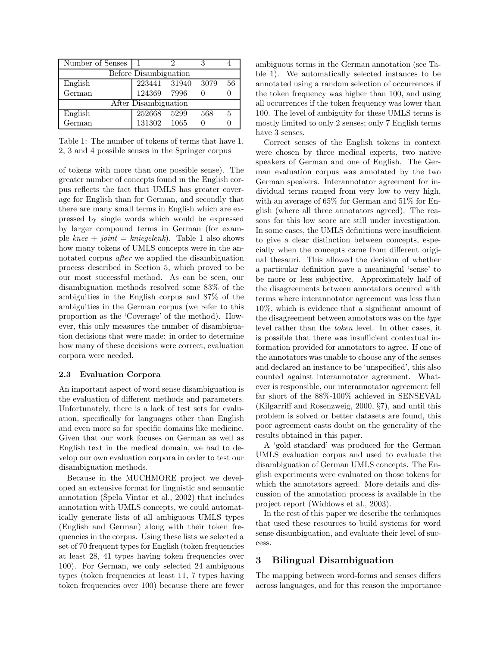| Number of Senses      |                      |      |      |    |  |  |  |  |  |  |
|-----------------------|----------------------|------|------|----|--|--|--|--|--|--|
| Before Disambiguation |                      |      |      |    |  |  |  |  |  |  |
| English               | 223441 31940         |      | 3079 | 56 |  |  |  |  |  |  |
| German                | 124369 7996          |      |      |    |  |  |  |  |  |  |
|                       | After Disambiguation |      |      |    |  |  |  |  |  |  |
| English               | 252668               | 5299 | 568  | 5  |  |  |  |  |  |  |
| German                | 131302               | 1065 |      |    |  |  |  |  |  |  |

Table 1: The number of tokens of terms that have 1, 2, 3 and 4 possible senses in the Springer corpus

of tokens with more than one possible sense). The greater number of concepts found in the English corpus reflects the fact that UMLS has greater coverage for English than for German, and secondly that there are many small terms in English which are expressed by single words which would be expressed by larger compound terms in German (for example knee + joint = kniegelenk). Table 1 also shows how many tokens of UMLS concepts were in the annotated corpus after we applied the disambiguation process described in Section 5, which proved to be our most successful method. As can be seen, our disambiguation methods resolved some 83% of the ambiguities in the English corpus and 87% of the ambiguities in the German corpus (we refer to this proportion as the 'Coverage' of the method). However, this only measures the number of disambiguation decisions that were made: in order to determine how many of these decisions were correct, evaluation corpora were needed.

#### 2.3 Evaluation Corpora

An important aspect of word sense disambiguation is the evaluation of different methods and parameters. Unfortunately, there is a lack of test sets for evaluation, specifically for languages other than English and even more so for specific domains like medicine. Given that our work focuses on German as well as English text in the medical domain, we had to develop our own evaluation corpora in order to test our disambiguation methods.

Because in the MUCHMORE project we developed an extensive format for linguistic and semantic annotation (Spela Vintar et al., 2002) that includes annotation with UMLS concepts, we could automatically generate lists of all ambiguous UMLS types (English and German) along with their token frequencies in the corpus. Using these lists we selected a set of 70 frequent types for English (token frequencies at least 28, 41 types having token frequencies over 100). For German, we only selected 24 ambiguous types (token frequencies at least 11, 7 types having token frequencies over 100) because there are fewer

ambiguous terms in the German annotation (see Table 1). We automatically selected instances to be annotated using a random selection of occurrences if the token frequency was higher than 100, and using all occurrences if the token frequency was lower than 100. The level of ambiguity for these UMLS terms is mostly limited to only 2 senses; only 7 English terms have 3 senses.

Correct senses of the English tokens in context were chosen by three medical experts, two native speakers of German and one of English. The German evaluation corpus was annotated by the two German speakers. Interannotator agreement for individual terms ranged from very low to very high, with an average of 65% for German and 51% for English (where all three annotators agreed). The reasons for this low score are still under investigation. In some cases, the UMLS definitions were insufficient to give a clear distinction between concepts, especially when the concepts came from different original thesauri. This allowed the decision of whether a particular definition gave a meaningful 'sense' to be more or less subjective. Approximately half of the disagreements between annotators occured with terms where interannotator agreement was less than 10%, which is evidence that a significant amount of the disagreement between annotators was on the type level rather than the token level. In other cases, it is possible that there was insufficient contextual information provided for annotators to agree. If one of the annotators was unable to choose any of the senses and declared an instance to be 'unspecified', this also counted against interannotator agreement. Whatever is responsible, our interannotator agreement fell far short of the 88%-100% achieved in SENSEVAL (Kilgarriff and Rosenzweig, 2000, §7), and until this problem is solved or better datasets are found, this poor agreement casts doubt on the generality of the results obtained in this paper.

A 'gold standard' was produced for the German UMLS evaluation corpus and used to evaluate the disambiguation of German UMLS concepts. The English experiments were evaluated on those tokens for which the annotators agreed. More details and discussion of the annotation process is available in the project report (Widdows et al., 2003).

In the rest of this paper we describe the techniques that used these resources to build systems for word sense disambiguation, and evaluate their level of success.

### 3 Bilingual Disambiguation

The mapping between word-forms and senses differs across languages, and for this reason the importance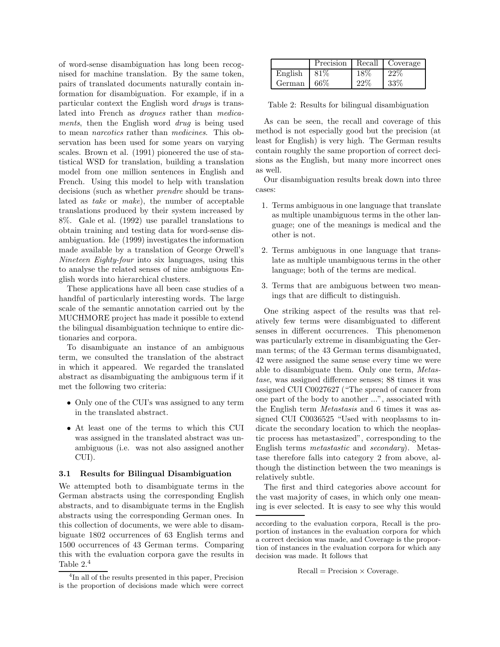of word-sense disambiguation has long been recognised for machine translation. By the same token, pairs of translated documents naturally contain information for disambiguation. For example, if in a particular context the English word drugs is translated into French as *droques* rather than *medica*ments, then the English word *drug* is being used to mean narcotics rather than medicines. This observation has been used for some years on varying scales. Brown et al. (1991) pioneered the use of statistical WSD for translation, building a translation model from one million sentences in English and French. Using this model to help with translation decisions (such as whether prendre should be translated as take or make), the number of acceptable translations produced by their system increased by 8%. Gale et al. (1992) use parallel translations to obtain training and testing data for word-sense disambiguation. Ide (1999) investigates the information made available by a translation of George Orwell's Nineteen Eighty-four into six languages, using this to analyse the related senses of nine ambiguous English words into hierarchical clusters.

These applications have all been case studies of a handful of particularly interesting words. The large scale of the semantic annotation carried out by the MUCHMORE project has made it possible to extend the bilingual disambiguation technique to entire dictionaries and corpora.

To disambiguate an instance of an ambiguous term, we consulted the translation of the abstract in which it appeared. We regarded the translated abstract as disambiguating the ambiguous term if it met the following two criteria:

- Only one of the CUI's was assigned to any term in the translated abstract.
- At least one of the terms to which this CUI was assigned in the translated abstract was unambiguous (i.e. was not also assigned another CUI).

#### 3.1 Results for Bilingual Disambiguation

We attempted both to disambiguate terms in the German abstracts using the corresponding English abstracts, and to disambiguate terms in the English abstracts using the corresponding German ones. In this collection of documents, we were able to disambiguate 1802 occurrences of 63 English terms and 1500 occurrences of 43 German terms. Comparing this with the evaluation corpora gave the results in Table 2.<sup>4</sup>

|         | Precision |      | Recall   Coverage |
|---------|-----------|------|-------------------|
| English | 81\%      | 18\% | 22%               |
| German  | 66%       | 22%  | $33\%$            |

Table 2: Results for bilingual disambiguation

As can be seen, the recall and coverage of this method is not especially good but the precision (at least for English) is very high. The German results contain roughly the same proportion of correct decisions as the English, but many more incorrect ones as well.

Our disambiguation results break down into three cases:

- 1. Terms ambiguous in one language that translate as multiple unambiguous terms in the other language; one of the meanings is medical and the other is not.
- 2. Terms ambiguous in one language that translate as multiple unambiguous terms in the other language; both of the terms are medical.
- 3. Terms that are ambiguous between two meanings that are difficult to distinguish.

One striking aspect of the results was that relatively few terms were disambiguated to different senses in different occurrences. This phenomenon was particularly extreme in disambiguating the German terms; of the 43 German terms disambiguated, 42 were assigned the same sense every time we were able to disambiguate them. Only one term, Metastase, was assigned difference senses; 88 times it was assigned CUI C0027627 ("The spread of cancer from one part of the body to another ...", associated with the English term Metastasis and 6 times it was assigned CUI C0036525 "Used with neoplasms to indicate the secondary location to which the neoplastic process has metastasized", corresponding to the English terms metastastic and secondary). Metastase therefore falls into category 2 from above, although the distinction between the two meanings is relatively subtle.

The first and third categories above account for the vast majority of cases, in which only one meaning is ever selected. It is easy to see why this would

```
Recall = Precision \times Coverage.
```
<sup>4</sup> In all of the results presented in this paper, Precision is the proportion of decisions made which were correct

according to the evaluation corpora, Recall is the proportion of instances in the evaluation corpora for which a correct decision was made, and Coverage is the proportion of instances in the evaluation corpora for which any decision was made. It follows that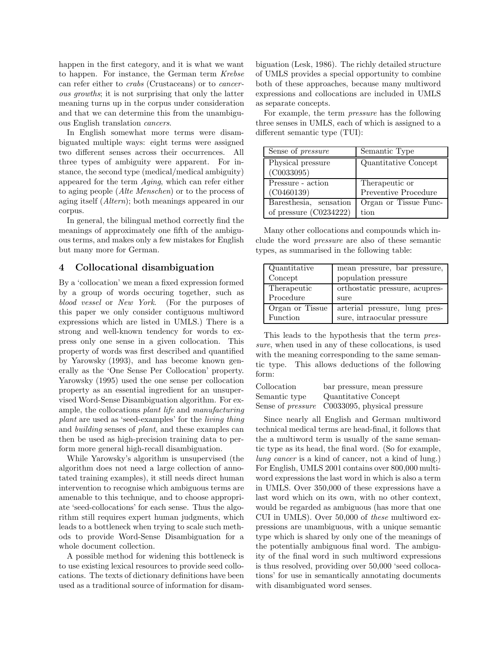happen in the first category, and it is what we want to happen. For instance, the German term Krebse can refer either to crabs (Crustaceans) or to cancerous growths; it is not surprising that only the latter meaning turns up in the corpus under consideration and that we can determine this from the unambiguous English translation cancers.

In English somewhat more terms were disambiguated multiple ways: eight terms were assigned two different senses across their occurrences. All three types of ambiguity were apparent. For instance, the second type (medical/medical ambiguity) appeared for the term Aging, which can refer either to aging people (Alte Menschen) or to the process of aging itself (Altern); both meanings appeared in our corpus.

In general, the bilingual method correctly find the meanings of approximately one fifth of the ambiguous terms, and makes only a few mistakes for English but many more for German.

## 4 Collocational disambiguation

By a 'collocation' we mean a fixed expression formed by a group of words occuring together, such as blood vessel or New York. (For the purposes of this paper we only consider contiguous multiword expressions which are listed in UMLS.) There is a strong and well-known tendency for words to express only one sense in a given collocation. This property of words was first described and quantified by Yarowsky (1993), and has become known generally as the 'One Sense Per Collocation' property. Yarowsky (1995) used the one sense per collocation property as an essential ingredient for an unsupervised Word-Sense Disambiguation algorithm. For example, the collocations plant life and manufacturing plant are used as 'seed-examples' for the living thing and building senses of plant, and these examples can then be used as high-precision training data to perform more general high-recall disambiguation.

While Yarowsky's algorithm is unsupervised (the algorithm does not need a large collection of annotated training examples), it still needs direct human intervention to recognise which ambiguous terms are amenable to this technique, and to choose appropriate 'seed-collocations' for each sense. Thus the algorithm still requires expert human judgments, which leads to a bottleneck when trying to scale such methods to provide Word-Sense Disambiguation for a whole document collection.

A possible method for widening this bottleneck is to use existing lexical resources to provide seed collocations. The texts of dictionary definitions have been used as a traditional source of information for disambiguation (Lesk, 1986). The richly detailed structure of UMLS provides a special opportunity to combine both of these approaches, because many multiword expressions and collocations are included in UMLS as separate concepts.

For example, the term pressure has the following three senses in UMLS, each of which is assigned to a different semantic type (TUI):

| Sense of <i>pressure</i> | Semantic Type         |
|--------------------------|-----------------------|
| Physical pressure        | Quantitative Concept  |
| (C0033095)               |                       |
| Pressure - action        | Therapeutic or        |
| (C0460139)               | Preventive Procedure  |
| Baresthesia, sensation   | Organ or Tissue Func- |
| of pressure $(C0234222)$ | tion                  |

Many other collocations and compounds which include the word pressure are also of these semantic types, as summarised in the following table:

| Quantitative    | mean pressure, bar pressure,   |
|-----------------|--------------------------------|
| Concept         | population pressure            |
| Therapeutic     | orthostatic pressure, acupres- |
| Procedure       | sure                           |
| Organ or Tissue | arterial pressure, lung pres-  |
| Function        | sure, intraocular pressure     |

This leads to the hypothesis that the term pressure, when used in any of these collocations, is used with the meaning corresponding to the same semantic type. This allows deductions of the following form:

| Collocation   | bar pressure, mean pressure                          |
|---------------|------------------------------------------------------|
| Semantic type | Quantitative Concept                                 |
|               | Sense of <i>pressure</i> C0033095, physical pressure |

Since nearly all English and German multiword technical medical terms are head-final, it follows that the a multiword term is usually of the same semantic type as its head, the final word. (So for example, lung cancer is a kind of cancer, not a kind of lung.) For English, UMLS 2001 contains over 800,000 multiword expressions the last word in which is also a term in UMLS. Over 350,000 of these expressions have a last word which on its own, with no other context, would be regarded as ambiguous (has more that one CUI in UMLS). Over 50,000 of these multiword expressions are unambiguous, with a unique semantic type which is shared by only one of the meanings of the potentially ambiguous final word. The ambiguity of the final word in such multiword expressions is thus resolved, providing over 50,000 'seed collocations' for use in semantically annotating documents with disambiguated word senses.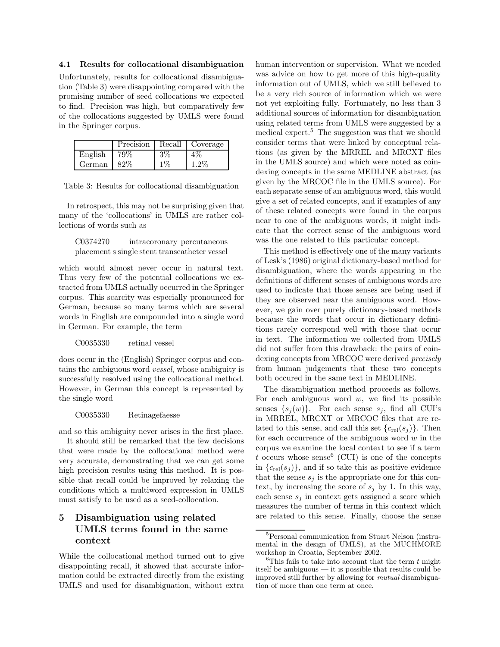#### 4.1 Results for collocational disambiguation

Unfortunately, results for collocational disambiguation (Table 3) were disappointing compared with the promising number of seed collocations we expected to find. Precision was high, but comparatively few of the collocations suggested by UMLS were found in the Springer corpus.

|         | Precision |       | Recall Coverage |
|---------|-----------|-------|-----------------|
| English | 79%       | 3%    | $4\%$           |
| German  | 82\%      | $1\%$ | 1.2%            |

|  |  |  |  | Table 3: Results for collocational disambiguation |
|--|--|--|--|---------------------------------------------------|
|--|--|--|--|---------------------------------------------------|

In retrospect, this may not be surprising given that many of the 'collocations' in UMLS are rather collections of words such as

C0374270 intracoronary percutaneous placement s single stent transcatheter vessel

which would almost never occur in natural text. Thus very few of the potential collocations we extracted from UMLS actually occurred in the Springer corpus. This scarcity was especially pronounced for German, because so many terms which are several words in English are compounded into a single word in German. For example, the term

### C0035330 retinal vessel

does occur in the (English) Springer corpus and contains the ambiguous word vessel, whose ambiguity is successfully resolved using the collocational method. However, in German this concept is represented by the single word

#### C0035330 Retinagefaesse

and so this ambiguity never arises in the first place. It should still be remarked that the few decisions that were made by the collocational method were very accurate, demonstrating that we can get some high precision results using this method. It is possible that recall could be improved by relaxing the conditions which a multiword expression in UMLS must satisfy to be used as a seed-collocation.

# 5 Disambiguation using related UMLS terms found in the same context

While the collocational method turned out to give disappointing recall, it showed that accurate information could be extracted directly from the existing UMLS and used for disambiguation, without extra human intervention or supervision. What we needed was advice on how to get more of this high-quality information out of UMLS, which we still believed to be a very rich source of information which we were not yet exploiting fully. Fortunately, no less than 3 additional sources of information for disambiguation using related terms from UMLS were suggested by a medical expert.<sup>5</sup> The suggestion was that we should consider terms that were linked by conceptual relations (as given by the MRREL and MRCXT files in the UMLS source) and which were noted as coindexing concepts in the same MEDLINE abstract (as given by the MRCOC file in the UMLS source). For each separate sense of an ambiguous word, this would give a set of related concepts, and if examples of any of these related concepts were found in the corpus near to one of the ambiguous words, it might indicate that the correct sense of the ambiguous word was the one related to this particular concept.

This method is effectively one of the many variants of Lesk's (1986) original dictionary-based method for disambiguation, where the words appearing in the definitions of different senses of ambiguous words are used to indicate that those senses are being used if they are observed near the ambiguous word. However, we gain over purely dictionary-based methods because the words that occur in dictionary definitions rarely correspond well with those that occur in text. The information we collected from UMLS did not suffer from this drawback: the pairs of coindexing concepts from MRCOC were derived precisely from human judgements that these two concepts both occured in the same text in MEDLINE.

The disambiguation method proceeds as follows. For each ambiguous word  $w$ , we find its possible senses  $\{s_j(w)\}.$  For each sense  $s_j$ , find all CUI's in MRREL, MRCXT or MRCOC files that are related to this sense, and call this set  ${c_{rel}(s_i)}$ . Then for each occurrence of the ambiguous word  $w$  in the corpus we examine the local context to see if a term t occurs whose sense  $^6$  (CUI) is one of the concepts in  ${c_{rel}(s_j)}$ , and if so take this as positive evidence that the sense  $s_j$  is the appropriate one for this context, by increasing the score of  $s_j$  by 1. In this way, each sense  $s_j$  in context gets assigned a score which measures the number of terms in this context which are related to this sense. Finally, choose the sense

<sup>&</sup>lt;sup>5</sup>Personal communication from Stuart Nelson (instrumental in the design of UMLS), at the MUCHMORE workshop in Croatia, September 2002.

<sup>&</sup>lt;sup>6</sup>This fails to take into account that the term  $t$  might itself be ambiguous — it is possible that results could be improved still further by allowing for mutual disambiguation of more than one term at once.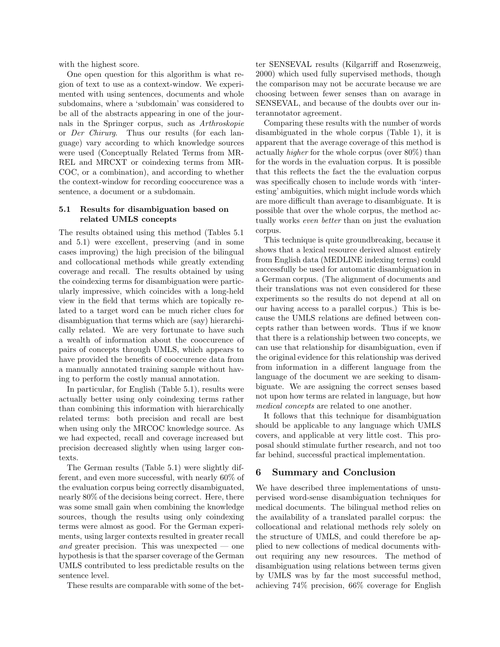with the highest score.

One open question for this algorithm is what region of text to use as a context-window. We experimented with using sentences, documents and whole subdomains, where a 'subdomain' was considered to be all of the abstracts appearing in one of the journals in the Springer corpus, such as Arthroskopie or Der Chirurg. Thus our results (for each language) vary according to which knowledge sources were used (Conceptually Related Terms from MR-REL and MRCXT or coindexing terms from MR-COC, or a combination), and according to whether the context-window for recording cooccurence was a sentence, a document or a subdomain.

### 5.1 Results for disambiguation based on related UMLS concepts

The results obtained using this method (Tables 5.1 and 5.1) were excellent, preserving (and in some cases improving) the high precision of the bilingual and collocational methods while greatly extending coverage and recall. The results obtained by using the coindexing terms for disambiguation were particularly impressive, which coincides with a long-held view in the field that terms which are topically related to a target word can be much richer clues for disambiguation that terms which are (say) hierarchically related. We are very fortunate to have such a wealth of information about the cooccurence of pairs of concepts through UMLS, which appears to have provided the benefits of cooccurence data from a manually annotated training sample without having to perform the costly manual annotation.

In particular, for English (Table 5.1), results were actually better using only coindexing terms rather than combining this information with hierarchically related terms: both precision and recall are best when using only the MRCOC knowledge source. As we had expected, recall and coverage increased but precision decreased slightly when using larger contexts.

The German results (Table 5.1) were slightly different, and even more successful, with nearly 60% of the evaluation corpus being correctly disambiguated, nearly 80% of the decisions being correct. Here, there was some small gain when combining the knowledge sources, though the results using only coindexing terms were almost as good. For the German experiments, using larger contexts resulted in greater recall and greater precision. This was unexpected  $\sim$  one hypothesis is that the sparser coverage of the German UMLS contributed to less predictable results on the sentence level.

These results are comparable with some of the bet-

ter SENSEVAL results (Kilgarriff and Rosenzweig, 2000) which used fully supervised methods, though the comparison may not be accurate because we are choosing between fewer senses than on avarage in SENSEVAL, and because of the doubts over our interannotator agreement.

Comparing these results with the number of words disambiguated in the whole corpus (Table 1), it is apparent that the average coverage of this method is actually higher for the whole corpus (over 80%) than for the words in the evaluation corpus. It is possible that this reflects the fact the the evaluation corpus was specifically chosen to include words with 'interesting' ambiguities, which might include words which are more difficult than average to disambiguate. It is possible that over the whole corpus, the method actually works even better than on just the evaluation corpus.

This technique is quite groundbreaking, because it shows that a lexical resource derived almost entirely from English data (MEDLINE indexing terms) could successfully be used for automatic disambiguation in a German corpus. (The alignment of documents and their translations was not even considered for these experiments so the results do not depend at all on our having access to a parallel corpus.) This is because the UMLS relations are defined between concepts rather than between words. Thus if we know that there is a relationship between two concepts, we can use that relationship for disambiguation, even if the original evidence for this relationship was derived from information in a different language from the language of the document we are seeking to disambiguate. We are assigning the correct senses based not upon how terms are related in language, but how medical concepts are related to one another.

It follows that this technique for disambiguation should be applicable to any language which UMLS covers, and applicable at very little cost. This proposal should stimulate further research, and not too far behind, successful practical implementation.

## 6 Summary and Conclusion

We have described three implementations of unsupervised word-sense disambiguation techniques for medical documents. The bilingual method relies on the availability of a translated parallel corpus: the collocational and relational methods rely solely on the structure of UMLS, and could therefore be applied to new collections of medical documents without requiring any new resources. The method of disambiguation using relations between terms given by UMLS was by far the most successful method, achieving 74% precision, 66% coverage for English